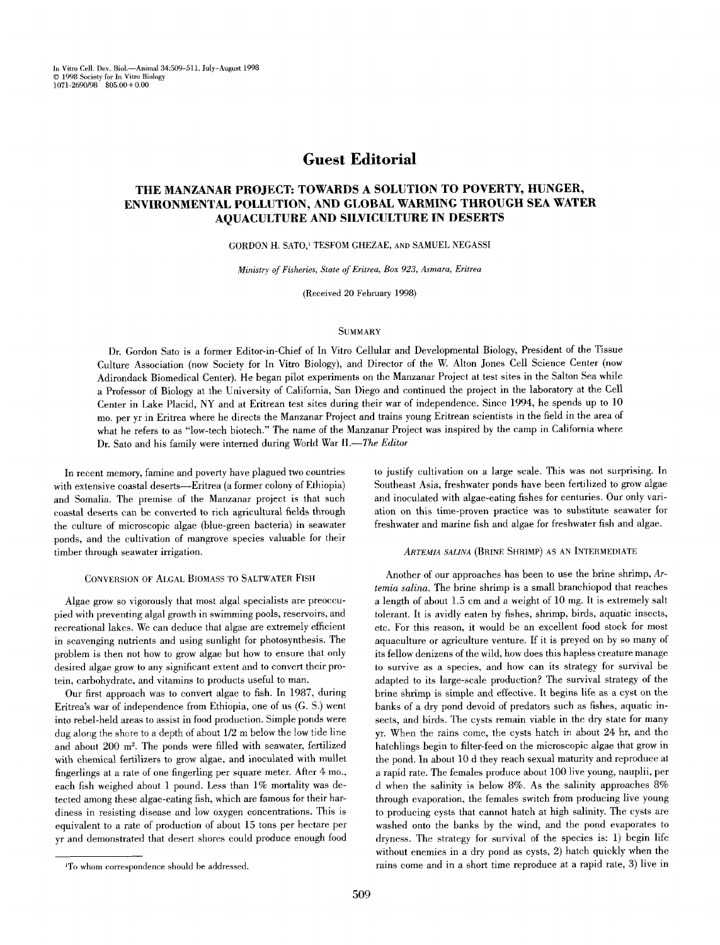In Vitro Cell. Dev. Biol.--Animal 34:509-511, July-August 1998 © 1998 Society for In Vitro Biology 1071-2690/98 \$05.00+0.00

# **Guest Editorial**

# **THE MANZANAR PROJECT: TOWARDS A SOLUTION TO POVERTY, HUNGER, ENVIRONMENTAL POLLUTION, AND GLOBAL WARMING THROUGH SEA WATER AQUACULTURE AND SILVICULTURE IN DESERTS**

GORDON H. SATO,<sup>1</sup> TESFOM GHEZAE, AND SAMUEL NEGASSI

*Ministry of Fisheries, State of Eritrea, Box 923, Asmara, Eritrea* 

(Received 20 February 1998)

### **SUMMARY**

Dr. Gordon Sato is a former Editor-in-Chief of In Vitro Cellular and Developmental Biology, President of the Tissue Culture Association (now Society for In Vitro Biology), and Director of the W. Alton Jones Cell Science Center (now Adirondack Biomedical Center). He began pilot experiments on the Manzanar Project at test sites in the Salton Sea while a Professor of Biology at the University of California, San Diego and continued the project in the laboratory at the Cell Center in Lake Placid, NY and at Eritrean test sites during their war of independence. Since 1994, he spends up to 10 mo. per yr in Eritrea where he directs the Manzanar Project and trains young Eritrean scientists in the field in the area of what he refers to as "low-tech biotech." The name of the Manzanar Project was inspired by the camp in California where Dr. Sato and his family were interned during World War *II.--The Editor* 

In recent memory, famine and poverty have plagued two countries with extensive coastal deserts---Eritrea (a former colony of Ethiopia) and Somalia. The premise of the Manzanar project is that such coastal deserts can be converted to rich agricultural fields through the culture of microscopic algae (blue-green bacteria) in seawater ponds, and the cultivation of mangrove species valuable for their timber through seawater irrigation.

# CONVERSION OF ALGAL BIOMASS TO SALTWATER FISH

Algae grow so vigorously that most algal specialists are preoccupied with preventing algal growth in swimming pools, reservoirs, and recreational lakes. We can deduce that algae are extremely efficient in scavenging nutrients and using sunlight for photosynthesis. The problem is then not how to grow algae but how to ensure that only desired algae grow to any significant extent and to convert their protein, carbohydrate, and vitamins to products useful to man.

Our first approach was to convert algae to fish. In 1987, during Eritrea's war of independence from Ethiopia, one of us (G. S.) went into rebel-held areas to assist in food production. Simple ponds were dug along the shore to a depth of about 1/2 m below the low tide line and about  $200$  m<sup>2</sup>. The ponds were filled with seawater, fertilized with chemical fertilizers to grow algae, and inoculated with mullet fingerlings at a rate of one fingerling per square meter. After 4 mo., each fish weighed about 1 pound. Less than 1% mortality was detected among these algae-eating fish, which are famous for their hardiness in resisting disease and low oxygen concentrations. This is equivalent to a rate of production of about 15 tons per hectare per yr and demonstrated that desert shores could produce enough food to justify cultivation on a large scale. This was not surprising. In Southeast Asia, freshwater ponds have been fertilized to grow algae and inoculated with algae-eating fishes for centuries. Our only variation on this time-proven practice was to substitute seawater for freshwater and marine fish and algae for freshwater fish and algae.

### *ARTEMIA SALINA* (BRINE SHRIMP) AS AN INTERMEDIATE

Another of our approaches has been to use the brine shrimp, *Artemia salina.* The brine shrimp is a small branchiopod that reaches a length of about 1.5 cm and a weight of 10 mg. It is extremely salt tolerant. It is avidly eaten by fishes, shrimp, birds, aquatic insects, etc. For this reason, it would be an excellent food stock for most aquaculture or agriculture venture. If it is preyed on by so many of its fellow denizens of the wild, how does this hapless creature manage to survive as a species, and how can its strategy for survival be adapted to its large-scale production? The survival strategy of the brine shrimp is simple and effective. It begins life as a cyst on the banks of a dry pond devoid of predators such as fishes, aquatic insects, and birds. The cysts remain viable in the dry state for many yr. When the rains come, the cysts hatch in about 24 hr, and the hatchlings begin to filter-feed on the microscopic algae that grow in the pond. In about 10 d they reach sexual maturity and reproduce at a rapid rate. The females produce about 100 live young, nauplii, per d when the salinity is below 8%. As the salinity approaches 8% through evaporation, the females switch from producing live young to producing cysts that cannot hatch at high salinity. The cysts are washed onto the banks by the wind, and the pond evaporates to dryness. The strategy for survival of the species is: 1) begin life without enemies in a dry pond as cysts, 2) hatch quickly when the rains come and in a short time reproduce at a rapid rate, 3) live in

<sup>&</sup>lt;sup>1</sup>To whom correspondence should be addressed.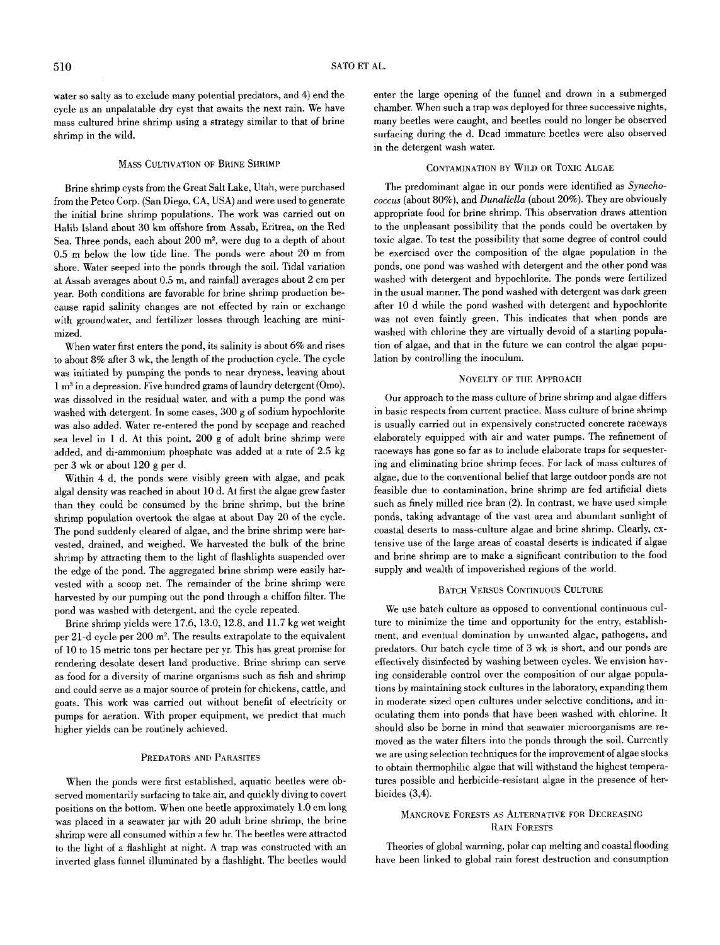water so salty as to exclude many potential predators, and 4) end the cycle as an unpalatable dry cyst that awaits the next rain. We have mass cultured brine shrimp using a strategy similar to that of brine shrimp in the wild.

### MASS CULTIVATION OF BRINE SHRIMP

Brine shrimp cysts from the Great Salt Lake, Utah, were purchased from the Petco Corp. (San Diego, CA, USA) and were used to generate the initial brine shrimp populations. The work was carried out on Halib Island about 30 km offshore from Assab, Eritrea, on the Red Sea. Three ponds, each about 200 m<sup>2</sup>, were dug to a depth of about 0.5 m below the low tide line. The ponds were about 20 m from shore. Water seeped into the ponds through the soil. Tidal variation at Assab averages about 0.5 m, and rainfall averages about 2 cm per year. Both conditions are favorable for brine shrimp production because rapid salinity changes are not effected by rain or exchange with groundwater, and fertilizer losses through leaching are minimized.

When water first enters the pond, its salinity is about 6% and rises to about 8% after 3 wk, the length of the production cycle. The cycle was initiated by pumping the ponds to near dryness, leaving about 1 m<sup>3</sup> in a depression. Five hundred grams of laundry detergent (Omo), was dissolved in the residual water, and with a pump the pond was washed with detergent. In some cases, 300 g of sodium hypochlorite was also added. Water re-entered the pond by seepage and reached sea level in 1 d. At this point, 200 g of adult brine shrimp were added, and di-ammonium phosphate was added at a rate of 2.5 kg per 3 wk or about 120 g per d.

Within 4 d, the ponds were visibly green with algae, and peak algal density was reached in about 10 d. At first the algae grew faster than they could be consumed by the brine shrimp, but the brine shrimp population overtook the algae at about Day 20 of the cycle. The pond suddenly cleared of algae, and the brine shrimp were harvested, drained, and weighed. We harvested the bulk of the brine shrimp by attracting them to the light of flashlights suspended over the edge of the pond. The aggregated brine shrimp were easily harvested with a scoop net. The remainder of the brine shrimp were harvested by our pumping out the pond through a chiffon filter. The pond was washed with detergent, and the cycle repeated.

Brine shrimp yields were 17.6, 13.0, 12.8, and 11.7 kg wet weight per 21-d cycle per 200 m<sup>2</sup>. The results extrapolate to the equivalent of 10 to 15 metric tons per hectare per yr. This has great promise for rendering desolate desert land productive. Brine shrimp can serve as food for a diversity of marine organisms such as fish and shrimp and could serve as a major source of protein for chickens, cattle, and goats. This work was carried out without benefit of electricity or pumps for aeration. With proper equipment, we predict that much higher yields can be routinely achieved.

### PREDATORS AND PARASITES

When the ponds were first established, aquatic beetles were observed momentarily surfacing to take air, and quickly diving to covert positions on the bottom. When one beetle approximately 1.0 cm long was placed in a seawater jar with 20 adult brine shrimp, the brine shrimp were all consumed within a few hr. The beetles were attracted to the light of a flashlight at night. A trap was constructed with an inverted glass funnel illuminated by a flashlight. The beetles would enter the large opening of the funnel and drown in a submerged chamber. When such a trap was deployed for three successive nights, many beetles were caught, and beetles could no longer be observed surfacing during the d. Dead immature beetles were also observed in the detergent wash water.

# CONTAMINATION BY WILD OR TOXIC ALGAE

The predominant algae in our ponds were identified as *Synechococcus* (about 80%), and *Dunaliella* (about 20%). They are obviously appropriate food for brine shrimp. This observation draws attention to the unpleasant possibility that the ponds could be overtaken by toxic algae. To test the possibility that some degree of control could be exercised over the composition of the algae population in the ponds, one pond was washed with detergent and the other pond was washed with detergent and hypochlorite. The ponds were fertilized in the usual manner. The pond washed with detergent was dark green after 10 d while the pond washed with detergent and hypochlorite was not even faintly green. This indicates that when ponds are washed with chlorine they are virtually devoid of a starting population of algae, and that in the future we can control the algae population by controlling the inoculum.

### NOVELTY OF THE APPROACH

Our approach to the mass culture of brine shrimp and algae differs in basic respects from current practice. Mass culture of brine shrimp is usually carried out in expensively constructed concrete raceways elaborately equipped with air and water pumps. The refinement of raceways has gone so far as to include elaborate traps for sequestering and eliminating brine shrimp feces. For lack of mass cultures of algae, due to the conventional belief that large outdoor ponds are not feasible due to contamination, brine shrimp are fed artificial diets such as finely milled rice bran (2). In contrast, we have used simple ponds, taking advantage of the vast area and abundant sunlight of coastal deserts to mass-culture algae and brine shrimp. Clearly, extensive use of the large areas of coastal deserts is indicated if algae and brine shrimp are to make a significant contribution to the food supply and wealth of impoverished regions of the world.

### BATCH VERSUS CONTINUOUS CULTURE

We use batch culture as opposed to conventional continuous culture to minimize the time and opportunity for the entry, establishment, and eventual domination by unwanted algae, pathogens, and predators. Our batch cycle time of 3 wk is short, and our ponds are effectively disinfected by washing between cycles. We envision having considerable control over the composition of our algae populations by maintaining stock cultures in the laboratory, expanding them in moderate sized open cultures under selective conditions, and inoculating them into ponds that have been washed with chlorine. It should also be borne in mind that seawater microorganisms are removed as the water filters into the ponds through the soil. Currently we are using selection techniques for the improvement of algae stocks to obtain thermophilic algae that will withstand the highest temperatures possible and herbicide-resistant algae in the presence of herbicides (3,4).

# MANGROVE FORESTS AS ALTERNATIVE FOR DECREASING RAIN FORESTS

Theories of global warming, polar cap melting and coastal flooding have been linked to global rain forest destruction and consumption